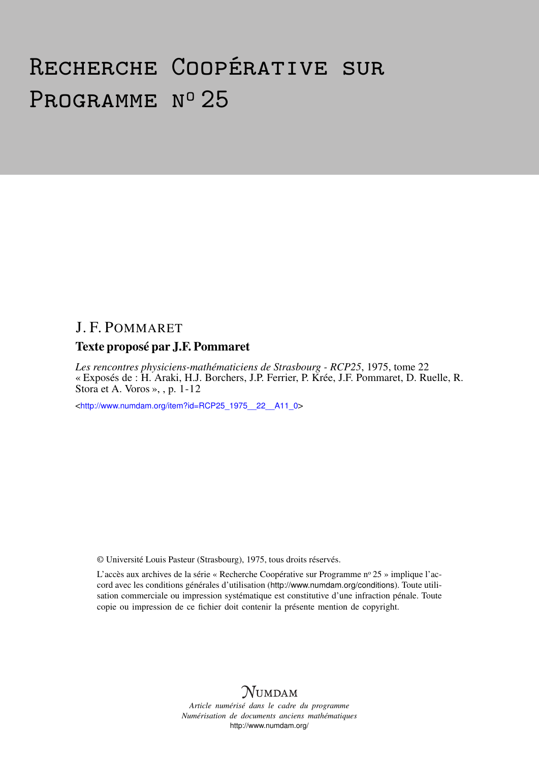# Recherche Coopérative sur PROGRAMME Nº 25

# J. F. POMMARET

# Texte proposé par J.F. Pommaret

*Les rencontres physiciens-mathématiciens de Strasbourg - RCP25*, 1975, tome 22 « Exposés de : H. Araki, H.J. Borchers, J.P. Ferrier, P. Krée, J.F. Pommaret, D. Ruelle, R. Stora et A. Voros », , p. 1-12

<[http://www.numdam.org/item?id=RCP25\\_1975\\_\\_22\\_\\_A11\\_0](http://www.numdam.org/item?id=RCP25_1975__22__A11_0)>

© Université Louis Pasteur (Strasbourg), 1975, tous droits réservés.

L'accès aux archives de la série « Recherche Coopérative sur Programme nº 25 » implique l'accord avec les conditions générales d'utilisation (<http://www.numdam.org/conditions>). Toute utilisation commerciale ou impression systématique est constitutive d'une infraction pénale. Toute copie ou impression de ce fichier doit contenir la présente mention de copyright.



*Article numérisé dans le cadre du programme Numérisation de documents anciens mathématiques* <http://www.numdam.org/>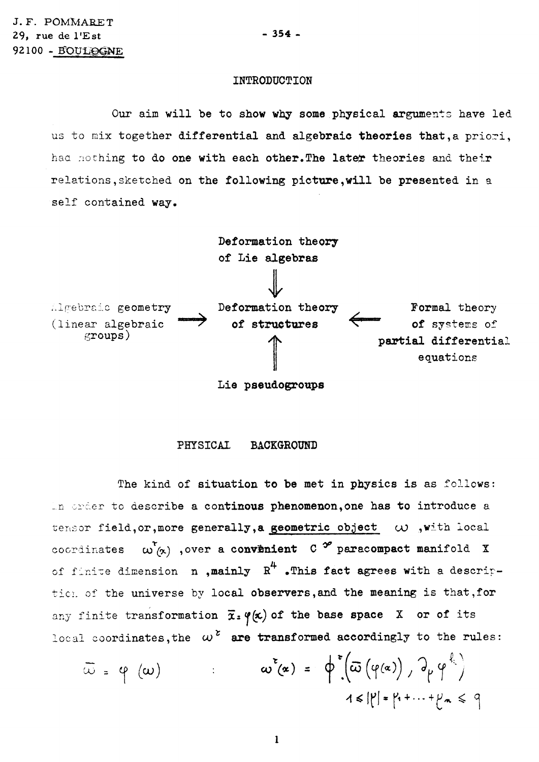## **INTRODUCTION**

Our **aim will be to show why some physical** arguments **have led**  us to mix **together differential and algebraic theories that,a** priori, haa nothing **to do one with each other.The latefr theories and** their relations,sketched **on the following picture,will be presented in** a self **contained way.** 



**Lie pseudogroups** 

## **PHYSICAL BACKGROUND**

The kind **of situation to be met in physics is** as follows: \_n order to **describe a continous phenomenon,one has to introduce** a tensor **field,or,more generally,a geometric object** *uo* ,with **local**  coordinates  $\omega'_{(x)}$ , over a convenient C  $^{\infty}$  paracompact manifold X of finite dimension **n**, mainly  $R^4$  . This fact agrees with a description of the **universe** by **local observers,and the meaning** is that,**for**  any finite transformation  $\bar{x}_s \varphi(x)$  of the base space X or of its local coordinates, the  $\omega^2$  are transformed accordingly to the rules:

$$
\overline{\omega} = \varphi(\omega)
$$
  $\omega^{2}(\alpha) = \varphi^{2}(\overline{\omega}(\varphi(\alpha)), \varphi_{\mu}\varphi^{\xi})$   
1 $\leq |\mu| = \mu + \dots + \mu_{n} \leq \varphi$ 

**1** 

**- 354 -**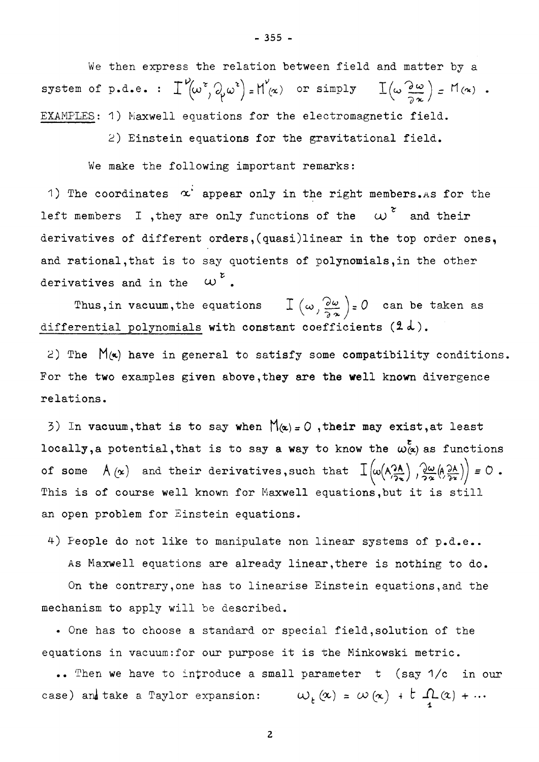We then express the relation between field and matter by a system of p.d.e. :  $\Gamma^{\vee}(\omega^{\tau}, \partial_{\mu}\omega^{\tau}) = H^{\vee}(\alpha)$  or simply  $\Gamma(\omega \frac{\partial \omega}{\partial \omega}) = M(\alpha)$ . EXAMPLES: **1 )** Maxwell equations for the electromagnetic field.

**2)** Einstein equations for the gravitational field.

We make the following important remarks:

relations.

1) The coordinates  $\alpha^2$  appear only in the right members. As for the left members I , they are only functions of the  $\omega^z$  and their derivatives of different orders, (quasi)linear in the top order ones, and rational, that is to say quotients of polynomials, in the other derivatives and in the  $\omega^{\nu}$ .

Thus, in vacuum, the equations  $\int_{-\infty}^{\infty} \left(\omega \frac{\partial \omega}{\partial x}\right) = 0$  can be taken as rential polynomials with constant coefficients  $(2, d)$ .

2) The  $M(x)$  have in general to satisfy some compatibility conditions. For the two examples given above, they are the well known divergence  $\mathbf{r}$  the two examples given above, they are the well known divergence  $\mathbf{r}$ 

3) In vacuum, that is to say when  $M(x) = 0$ , their may exist, at least locally, a potential, that is to say a way to know the  $\omega^{\epsilon}_{(\alpha)}$  as functions of some  $A(x)$  and their derivatives, such that  $I\left(\omega(A_{\overline{2x}}^{\lambda A})\right), \frac{\partial \omega}{\partial x}(A_{\overline{2x}}^{\lambda A})\right)\neq 0$ . This is of course well known for Maxwell equations, but it is still an open problem for Einstein equations.

**4)** People do not like to manipulate non linear systems of p.d.e.. As Maxwell equations are already linear,there is nothing to do.

On the contrary,one has to linearise Einstein equations,and the

 $\mathcal{L}^{\text{max}}$  standard or special field, solution or special field, solution or special field, solution of the theoretical field, solution or special field, solution of the theoretical field, solution of the theoretical equations in vacuum:for our purpose it is the Minkowski metric.

mechanism to apply will be described.

.. Then we have to introduce a small parameter t (say **1**/c in our case) and take a Taylor expansion:  $\omega_{t}(\alpha) = \omega(\alpha) + t \cdot \Omega(\alpha) + \cdots$ 

**- 355 -**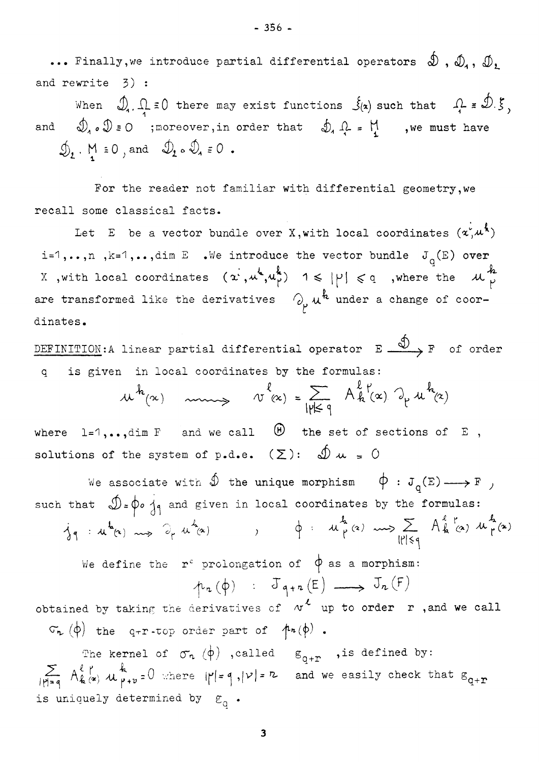••• Finally, we introduce partial differential operators  $\mathcal{D}$  ,  $\mathcal{D}_1$ ,  $\mathcal{D}_2$ and rewrite **3) •** 

When  $\mathcal{D}_1$ ,  $\Omega \neq 0$  there may exist functions  $\mathcal{S}_1(\alpha)$  such that  $\Omega \neq \mathcal{D}$ . and  $\mathcal{D}_4 \circ \mathcal{D} = 0$  ; moreover, in order that  $\mathcal{D}_4 \mathcal{L} = \mathcal{M}$  , we must have  $\oint_{2}$  . M  $\equiv 0$ , and  $\oint_{2}$   $\circ \oint_{4}$   $\equiv 0$ .

For the reader not familiar with differential geometry,we recall some classical facts.

Let  $E$  be a vector bundle over X,with local coordinates  $(\boldsymbol{\mathsf{x}},\boldsymbol{\mathsf{\mu}}^{\bullet})$ i=1,..,n , k=1,..,dim E .We introduce the vector bundle  $J_q(E)$  over */ \* k* **IN I I X** ,with local coordinates (o^,>u ,<u^,) **1** ^. j^j ^ q ,where the XL ^ are transformed like the derivatives  $\bigcirc_{p} u^{k}$  under a change of coor**f**  dinastia dinastia dinastia dinastia dinastia dinastia dinastia dinastia dinastia dinastia dinastia dinastia di<br>Senata dinastia dinastia dinastia dinastia dinastia dinastia dinastia dinastia dinastia dinastia dinastia dina

DEFINITION:A linear partial differential operator  $E \stackrel{\textcircled{\frown}}{\longrightarrow} F$  of order q is given in local coordinates by the formulas:

$$
u^{h}(\alpha)
$$
  $\longrightarrow$   $v^{l}(\alpha) = \sum_{|\gamma| \leq q} A^{l} h(\alpha) \partial_{\gamma} u^{h}(\alpha)$ 

where  $l=1,\ldots,\dim F$  and we call  $\Theta$  the set of sections of E, solutions of the system of p.d.e.  $(\Sigma)$ :  $\oint \omega = 0$ 

We associate with  $\hat{\mathcal{D}}$  the unique morphism  $\phi : J_{\alpha}(E) \longrightarrow F$  *j* such that  $\mathcal{D}=\phi$   $\frac{1}{4}$  and given in local coordinates by the formulas:  $ig: u^h(x) \longrightarrow \partial_r u^h(x)$  ,  $\phi: u^h(\alpha) \longrightarrow \mathbb{R}$   $A^{\ell r}_{h}(\alpha) u^h_{r}(x)$ 

We define the  $r^c$  prolongation of  $\phi$  as a morphism:

$$
\mu_{n}(\phi) \qquad J_{q+n}(E) \longrightarrow J_{n}(F)
$$

obtained by taking the derivatives of  $w^k$  up to order r , and we call  $\sigma_{\mathbf{r}}(\phi)$  the q-r-top order part of  $\phi(\phi)$ .

The kernel of  $\sigma_n$   $(\phi)$  , called  $g_{q+r}$  , is defined by:  $\sum_{|\mathcal{V}|=q} A_{k}^{\ell} \underset{\varphi}{\wedge} \mathcal{U}_{\mathcal{V}+v}^{\kappa} = 0$  where  $|\mathcal{V}| = q$ ,  $|\mathcal{V}| = \mathcal{V}$  and we easily check that  $g_{q+r}$ is uniquely determined by  $\varepsilon_{q}$  .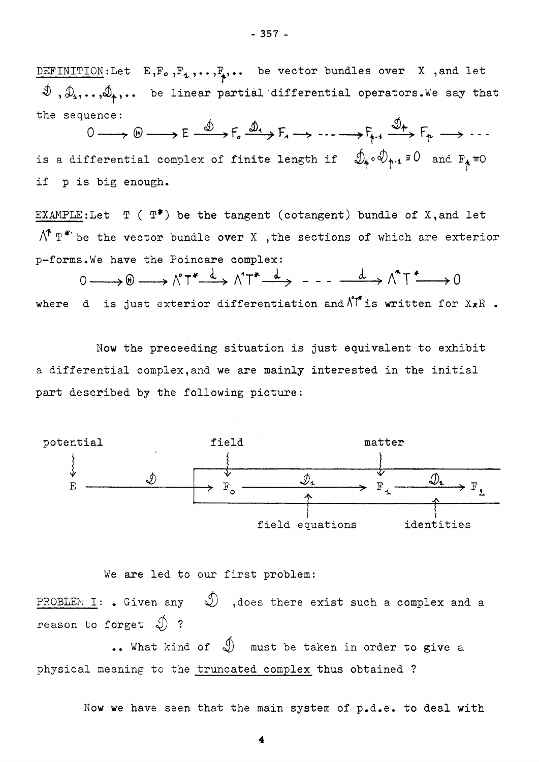DEFINITION:Let  $E, F_o, F_1, \ldots, F_p, \ldots$  be vector bundles over X , and let  $\mathcal{D}$  ,  $\mathcal{D}_4$ ,.., $\mathcal{D}_4$ ,... be linear partial differential operators.We say that the sequence:  $\qquad \qquad \qquad$ 

 $0 \longrightarrow \oplus \longrightarrow E \xrightarrow{\omega} F_s \xrightarrow{\omega_1} F_s \longrightarrow \cdots \longrightarrow F_{n-1} \xrightarrow{\omega_n} F_p \longrightarrow \cdots$ is a differential complex of finite length if  $\mathcal{Y}_4 \circ \mathcal{Y}_{4\cdot 4}$   $\exists\, \mathsf{U}$  and  $\mathbb{F}_4$   $\equiv$  O if p is big enough.

EXAMPLE:Let  $T$  ( $T^*$ ) be the tangent (cotangent) bundle of X, and let  $\bigwedge^{\uparrow} T^{*}$  be the vector bundle over X , the sections of which are exterior p-forms.We have the Poincare complex:

 $0 \longrightarrow 0 \longrightarrow \wedge^0 T^* \xrightarrow{d} \wedge^1 T^* \xrightarrow{d} \qquad \qquad -1 \longrightarrow \wedge^0 T^* \longrightarrow 0$ where d is just exterior differentiation and  $\bigwedge^{\bullet}$  is written for  $X \times R$ .

Now the preceeding situation is just equivalent to exhibit a differential complex,and we are mainly interested in the initial part described by the following picture:



We are led to our first problem:

PROBLEM I: . Given any  $\mathcal D$  ,does there exist such a complex and a reason to forget  $\mathcal{D}$  ?

•. What kind of  $\mathcal{D}$  must be taken in order to give a physical meaning to the truncated complex thus obtained ?

Now we have seen that the main system of p.d.e. to deal with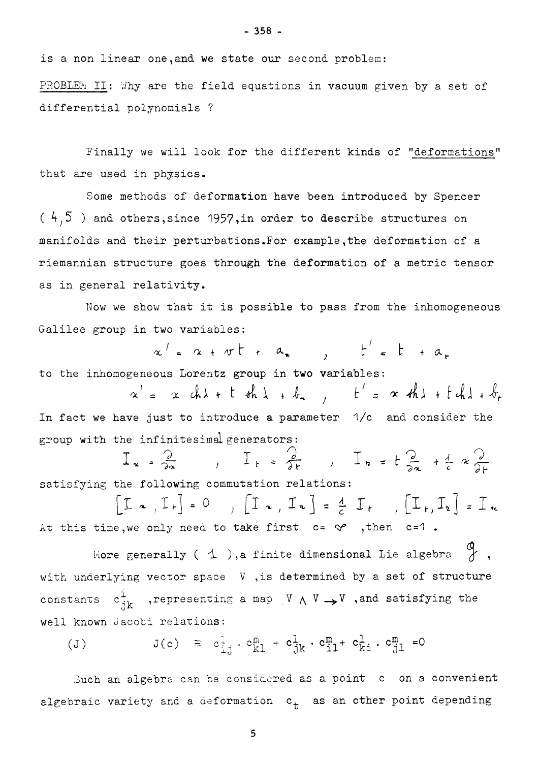is a non linear one,and we state our second problem:

PROBLEM II: Why are the field equations in vacuum given by a set of differential polynomials ?

Finally we will look for the different kinds of "deformations" that are used in physics.

Some methods of deformation have been introduced by Spencer **( ^ 5** ) and others,since **195?**>in order to describe structures on manifolds and their perturbations.For example,the deformation of a riemannian structure goes through the deformation of a metric tensor as in general relativity.

Now we show that it is possible to pass from the inhomogeneous Galilee group in two variables:

 $\alpha' = \alpha + \sigma t + a$ ,  $t' = t + a$ to the inhomogeneous Lorentz group in two variables:

 $x' = x ch\lambda + t dh\lambda + b_n$ ,  $t' = x dh\lambda + t ch\lambda + b_r$ In fact we have just to introduce a parameter **1**/c and consider the group with the infinitesimal generators :

$$
I_{x} = \frac{2}{2x}, \quad I_{r} = \frac{2}{2r}, \quad I_{r} = t \frac{2}{2x} + \frac{1}{2}x \frac{2}{2r}
$$

 $[T_{\alpha}, I_{r}] = 0$ ,  $[T_{\alpha}, I_{r}] = \frac{1}{r} I_{r}$ ,  $[T_{r}, I_{r}] = I_{rc}$ At this time, we only need to take first  $c = \mathcal{S}$  , then  $c = 1$ .

Hore generally (  $\Delta$  ),a finite dimensional Lie algebra  $\begin{array}{c} \varphi \\ \varphi \end{array}$ , with underlying vector space V ,is determined by a set of structure constants  $c^1_{jk}$  ,representing a map V  $\land$  V  $\rightarrow$  V ,and satisfying the well known Jacobi relations:

$$
(J) \t J(c) \t \equiv c_{i,j}^{1} \cdot c_{k1}^{m} + c_{jk}^{1} \cdot c_{i1}^{m} + c_{ki}^{1} \cdot c_{j1}^{m} = 0
$$

Such an algebra can be considered as a point c on a convenient algebraic variety and a deformation  $c_t$  as an other point depending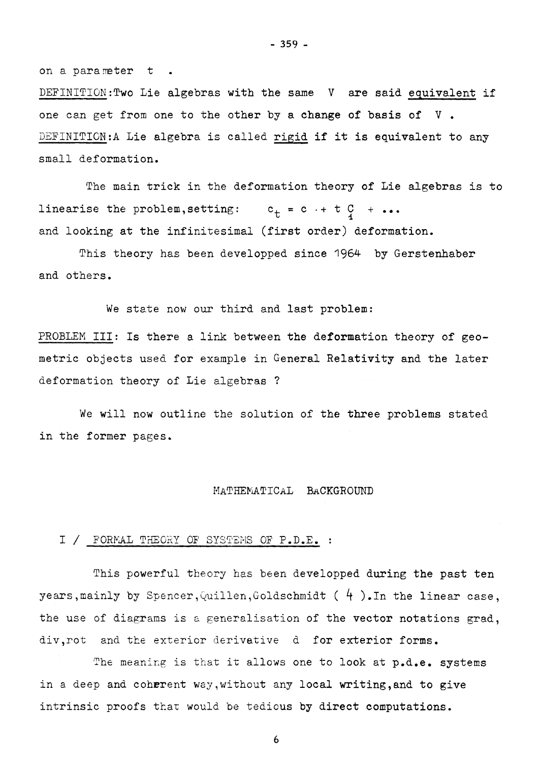on a parameter t.

DEFINITION: Two Lie algebras with the same V are said equivalent if one can get from one to the other by a change of basis of V . DEFINITION:A Lie algebra is called rigid if it is equivalent to any small deformation.

The main trick in the deformation theory of Lie algebras is to linearise the problem, setting:  $c_t = c + t q + \cdots$ and looking at the infinitesimal (first order) deformation.

This theory has been developped since **1964** by Gerstenhaber and others.

We state now our third and last problem:

PROBLEM III: Is there a link between the deformation theory of geometric objects used for example in General Relativity and the later deformation theory of Lie algebras ?

We will now outline the solution of the three problems stated in the former pages.

#### MATHEMATICAL BACKGROUND

## I / FORMAL THEORY OF SYSTEMS OF P.D.E. :

This powerful theory has been developped during the past ten years,mainly by Spencer,Quillen,Goldschmidt ( **4** ).In the linear case, the use of diagrams is a generalisation of the vector notations grad, div,rot and the exterior derivative d for exterior forms.

The meaning is that it allows one to look at p.d.e. systems in a deep and coherent way,without any local writing,and to give intrinsic proofs thar would be tedious by direct computations.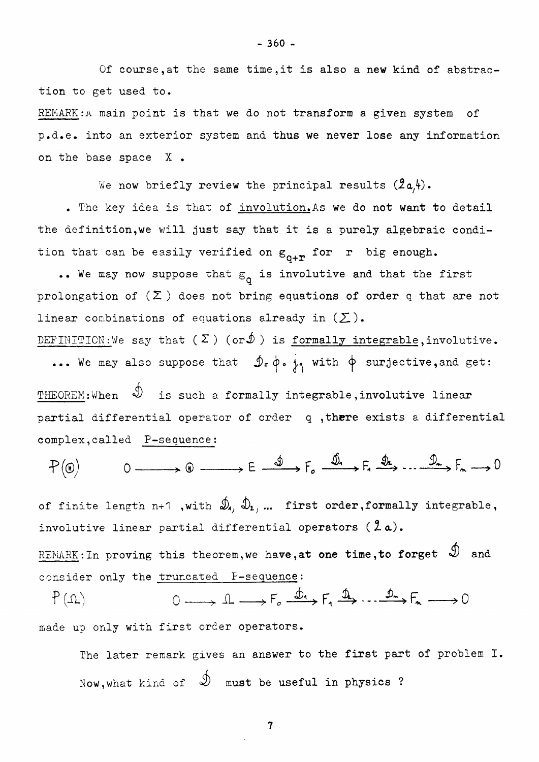Of course,at the same time,it is also a new kind of abstraction to get used to.

REMARK:**A** main point is that we do not transform a given system of *p.d.e.* into an exterior system and thus we never lose any information on the base space X •

We now briefly review the principal results  $(2a,4)$ .

. The key idea is that of involution. As we do not want to detail the definition, we will just say that it is a purely algebraic condition that can be easily verified on  $g_{0+r}$  for r big enough.

.. We may now suppose that  $\varepsilon_{0}$  is involutive and that the first prolongation of  $(\Sigma)$  does not bring equations of order q that are not linear combinations of equations already in  $(\Sigma)$ .

DEFINITION: We say that  $(\Sigma)$  (or $\mathcal{D}$ ) is <u>formally integrable</u>, involutive. ... We may also suppose that  $\mathcal{D}_z \phi$ ,  $\dot{\phi}$  with  $\phi$  surjective, and get:

THEOREM:When  $\mathcal{D}$  is such a formally integrable, involutive linear partial differential operator of order q, there exists a differential complex,called P-sequence:

 $P(\circledast) \qquad 0 \longrightarrow 0 \longrightarrow E \longrightarrow E \longrightarrow F_{o} \xrightarrow{\text{I} \text{I}} F_{a} \xrightarrow{\text{I} \text{I}} F_{a} \xrightarrow{\text{I} \text{I}} F_{a} \longrightarrow 0$ 

of finite length n+1 ,with  $\mathcal{D}_1$ ,  $\mathcal{D}_2$ , ... first order, formally integrable, involutive linear partial differential operators **(2a).** 

REMARK: In proving this theorem, we have, at one time, to forget  $\mathcal{D}$  and consider only the truncated P-sequence:

 $0 \longrightarrow 1 \longrightarrow F_{0} \stackrel{\phi_{1}}{\longrightarrow} F_{1} \stackrel{\Phi_{2}}{\longrightarrow} \cdots \stackrel{\phi_{n}}{\longrightarrow} F_{n} \longrightarrow 0$  $f(\mathcal{U})$ made up only with first order operators.

The later remark gives an answer to the first part of problem I. Now, what kind of  $\mathcal{D}$  must be useful in physics ?

**- 360 -**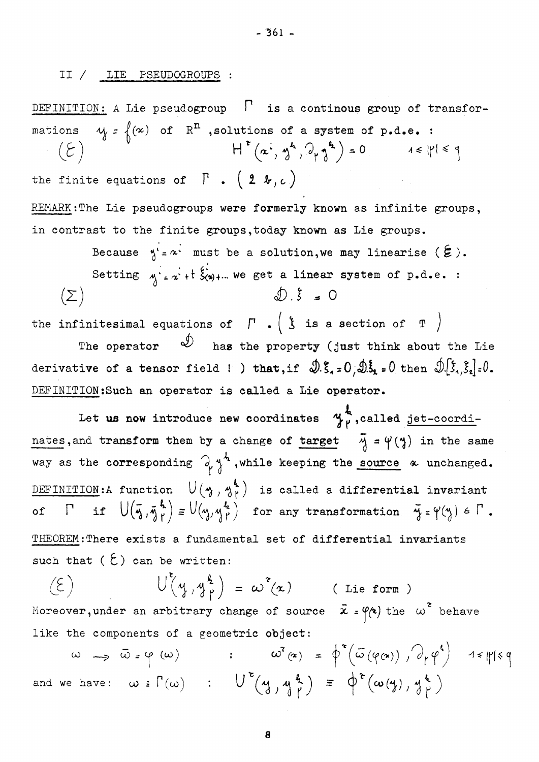# **II / LIE PSEUDOGROUPS :**

**DEFINITION** : A **Lie pseudogroup** *P* **is a continous group of transfor-** $\mathcal{M} = \{(\infty) \text{ of } \mathbb{R}^m \text{ , solutions of a system of } p \text{ .d.e., } : \}$  $H^{\tau}(\alpha^{\tau}, \gamma^{\prime}, \gamma^{\prime}, \gamma^{\prime}) = 0$  $\mathcal{E} \left( \mathcal{E} \right)$  $1 \leq |P| \leq q$ the finite equations of  $\Gamma$  .  $(2 \; \kappa, c)$ **REMARK:The Lie pseudogroups were formerly known as infinite groups, in contrast to the finite groups,today known as Lie groups.**  Because  $y' = x'$  must be a solution, we may linearise  $(\xi)$ . Setting  $\gamma = \alpha + 1$   $\xi(\alpha) + ...$  we get a linear system of p.d.e. :  $D.\xi = 0$  $(\Sigma)$ 

the infinitesimal equations of  $\Gamma$   $\bullet$  ( $\frac{1}{3}$  is a section of T **The operator has the property (just think about the Lie**  derivative of a tensor field ! ) that, if  $\mathcal{D}.\xi_* = 0$ ,  $\mathcal{D}.\xi_* = 0$  then  $\mathcal{D}.\xi_*, \xi_*] = 0$ . **DEFINITION:Such an operator is called a Lie operator.** 

Let us now introduce new coordinates  $\gamma_{\mu}^{l}$ , called jet-coordinates, and transform them by a change of target  $\vec{y} = \vec{\gamma}$  ( $\vec{y}$ ) in the same way as the corresponding  $\partial_\rho \gamma^4$ , while keeping the source  $\alpha$  unchanged. DEFINITION:A function  $U(\gamma,\gamma_1^h)$  is called a differential invariant  $\overline{D}$  **)**  $\left| \int_{a}^{b} d\theta \right|$   $\left| \int_{a}^{b} d\theta \right|$   $\left| \int_{a}^{b} d\theta \right|$   $\left| \int_{a}^{b} d\theta \right|$   $\left| \int_{a}^{b} d\theta \right|$   $\left| \int_{a}^{b} d\theta \right|$   $\left| \int_{a}^{b} d\theta \right|$   $\left| \int_{a}^{b} d\theta \right|$   $\left| \int_{a}^{b} d\theta \right|$   $\left| \int_{a}^{b} d\theta \right|$   $\left| \int_{a$ **o**  $\mathbf{v} \cdot \mathbf{v} = \mathbf{v} \cdot \mathbf{v}$ **THEOREM:There exists a fundamental set of differential invariants**  such that  $(\xi)$  can be written:

 $U(\psi, \psi) = \omega^2(\chi)$  (Lie form)  $(\epsilon)$ Moreover, under an arbitrary change of source  $\vec{x} = \phi(\vec{x})$  the  $\omega^2$  behave like the components of a geometric **object:** 

 $\omega \rightarrow \bar{\omega}$  =  $\varphi$  ( $\omega$ ) :  $\omega^2(\alpha) = \varphi^2(\bar{\omega}(\varphi(\alpha)))$ ,  $\partial_r \varphi^4$  1 =  $\|\varphi\|$ and we have:  $\omega \in \Gamma(\omega)$  :  $U^{\epsilon}(y, y^{\frac{p}{2}}) = \varphi^{\epsilon}(\omega(y), y^{\frac{p}{2}})$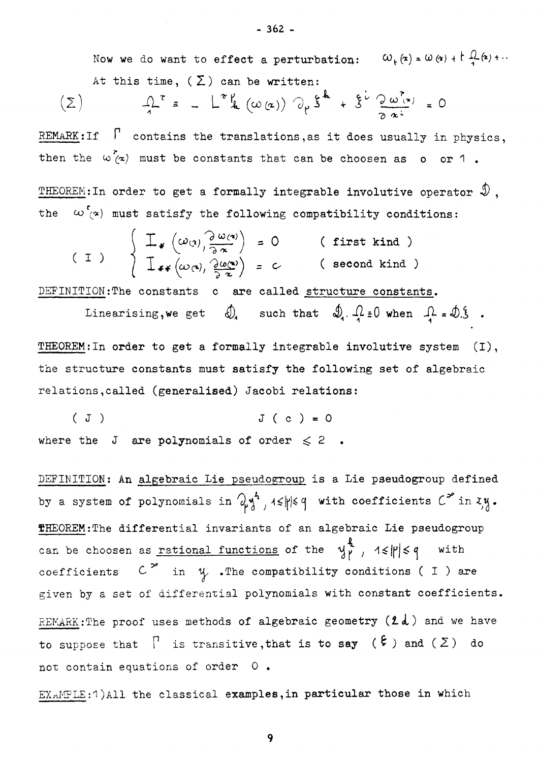Now we do want to effect a perturbation:  $\omega_{k}(x) = \omega(x) + \frac{1}{4}(x) + ...$ At this time,  $(\Sigma)$  can be written:

$$
\left(\sum\right) \qquad \qquad \mathcal{L}^{\tau} = -\mathcal{L}^{\tau}\mathcal{L}(\omega(\alpha)) \partial_{\mu}\xi^{\mu} + \xi^{\nu}\frac{\partial \omega(\alpha)}{\partial \alpha^{\mu}} = 0
$$

REMARK:If  $\int$  contains the translations, as it does usually in physics, then the  $\omega(\alpha)$  must be constants that can be choosen as o or 1.

THEOREM: In order to get a formally integrable involutive operator  $\mathcal D$ , the  $\omega$   $\infty$  must satisfy the following compatibility conditions:

$$
(I) \qquad \begin{cases} \mathcal{I}_{*}(\omega_{(1)})\frac{\partial \omega_{(2)}}{\partial x} = 0 & (\text{first kind}) \\ \mathcal{I}_{**}(\omega_{(2)})\frac{\partial \omega_{(2)}}{\partial x} = c & (\text{second kind}) \end{cases}
$$

DEFINITION: The constants c are called structure constants.

Linearising, we get 
$$
\bigcirc
$$
 such that  $\oint$ .  $\mathcal{L} = 0$  when  $\mathcal{L} = \oint$ .  
DEFM. In order to get a formula integrable involution equation (1)

**THEOREM** :In order to get a formally integrable involutive system (I), the structure constants must satisfy the following set of algebraic relations,called (generalised) Jacobi relations:

 $J(c) = 0$ where the J are polynomials of order  $\leq 2$ .

DEFINITION: An algebraic Lie pseudogroup is a Lie pseudogroup defined by a system of polynomials in  $\partial_{\mu} y^4$ ,  $4 \leq |\mu| \leq 4$  with coefficients  $C^2$  in  $xy$ . **THEOREM**:The differential invariants of an algebraic Lie pseudogroup can be choosen as rational functions of the  $\frac{1}{2}$ ,  $1 \leq |\mathbf{r}| \leq q$  with coefficients  $C^{\infty}$  in  $\psi$  . The compatibility conditions ( I ) are given by a set of differential polynomials with constant coefficients. REMARK: The proof uses methods of algebraic geometry  $(2d)$  and we have to suppose that  $\Gamma$  is transitive, that is to say  $(\xi)$  and  $(\Sigma)$  do not contain equations of order 0 .

EXAMPLE**:1**)All the classical examples,in particular those in which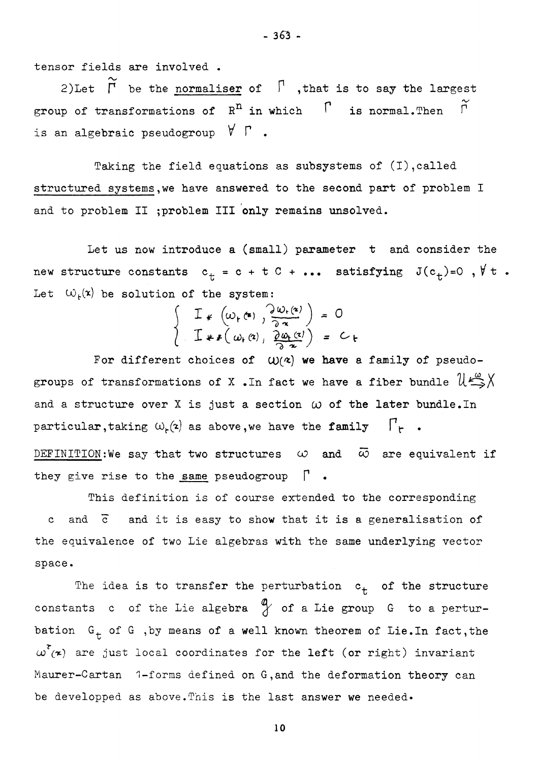tensor fields are involved •

2) Let  $\widetilde{\Gamma}$  be the normaliser of  $\Gamma$ , that is to say the largest group of transformations of  $R<sup>n</sup>$  in which  $\Gamma$  is normal. Then  $\widetilde{\Gamma}$ is an algebraic pseudogroup  $\forall \Gamma$  .

Taking the field equations as subsystems of (I),called structured systems,we have answered to the second part of problem I and to problem II ; problem III only remains unsolved.

Let us now introduce a (small) parameter t and consider the new structure constants  $c_t = c + t C + ...$  satisfying  $J(c_t) = 0$ ,  $\forall t$ . Let  $\omega_{\mu}(\mathbf{x})$  be solution of the system:

$$
\begin{cases}\n\mathbf{I} * (\omega_{r}(\mathbf{a}), \frac{\partial \omega_{r}(\mathbf{a})}{\partial \mathbf{a}}) = 0 \\
\mathbf{I} * (\omega_{r}(\mathbf{a}), \frac{\partial \omega_{r}(\mathbf{a})}{\partial \mathbf{a}}) = C_{t}\n\end{cases}
$$

For different choices of  $\left(\mathsf{W}(\mathsf{z})\right)$  we have a family of pseudogroups of transformations of X.In fact we have a fiber bundle  $\mathcal{U} \stackrel{\omega}{\Longrightarrow} \mathcal{X}$ and a structure over X is just a section  $\omega$  of the later bundle. In particular, taking  $\omega_{\mathsf{r}}(\mathsf{z})$  as above, we have the family  $\Gamma_{\mathsf{r}}$  . DEFINITION:We say that two structures  $\omega$  and  $\bar{\omega}$  are equivalent if they give rise to the same pseudogroup **P .** 

This definition is of course extended to the corresponding c and  $\bar{c}$  and it is easy to show that it is a generalisation of the equivalence of two Lie algebras with the same underlying vector space.

The idea is to transfer the perturbation  $c_t$  of the structure constants c of the Lie algebra  $\frac{a}{b}$  of a Lie group G to a perturbation  $G_t$  of  $G$  , by means of a well known theorem of Lie. In fact, the  $\omega^r$ <sub>( $\infty$ </sub>) are just local coordinates for the left (or right) invariant Maurer-Cartan 1-forms defined on G,and the deformation theory can be developped as above. This is the last answer we needed.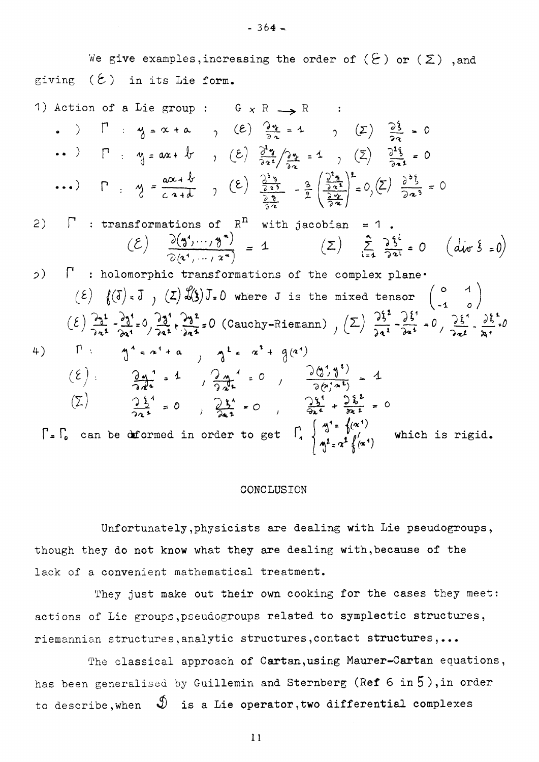We give examples, increasing the order of  $(\xi)$  or  $(\Sigma)$ , and giving  $(2)$  in its Lie form.

1) Action of a Lie group :  $G \times R \longrightarrow R$ . )  $\Gamma$  :  $y = x + a$  , (2)  $\frac{2x}{2a} = 1$  , (2)  $\frac{25}{22} = 0$ ..)  $\Gamma$  :  $y = ax + bx$ ,  $(\varepsilon) \frac{\partial^2 y}{\partial x^2} = 1$ ,  $(\Sigma) \frac{\partial^2 \xi}{\partial x^2} = 0$ ...) **p** .  $\Delta y = \frac{a\alpha + b}{c\alpha + b}$  ,  $(\epsilon) = \frac{\frac{a}{2a}a}{\frac{a}{2a}a} - \frac{a}{b} = \frac{a}{2a} \frac{a^2}{\frac{b}{2a}a}$   $= 0$ ,  $(\epsilon) = \frac{a}{2a} = 0$  $\sqrt{3\pi}$  $2)$  **Fig.** : transformations of  $R<sup>11</sup>$  with jacobian = 1.  $(L)$   $\frac{b(3) \cdots 7 \cdot 7}{2} = 1$ *5)* **P : holomorphic transformations of the complex plane\***   $E(E)$   $f(\overline{J}) = \overline{J}$   $f(\overline{L}) = f(\overline{L})$  where J is the mixed tensor  $\begin{pmatrix} 0 & 1 \\ -1 & 0 \end{pmatrix}$  $(\epsilon)$   $\frac{23^{1}}{22^{1}} - \frac{23^{1}}{22^{1}} = 0$   $\frac{23^{1}}{22^{1}} + \frac{23^{2}}{22^{1}} = 0$  (Cauchy-Riemann)  $(\Sigma)$   $\frac{25^{1}}{22^{1}} - \frac{25^{1}}{22^{1}} = 0$   $\frac{25^{1}}{22^{1}} - \frac{25^{1}}{21} = 0$  $P: \int_{0}^{1} \epsilon x^{1} dx$ ,  $A^{2} \epsilon x^{2} + g(a^{2})$ 4)  $(\ell)$ :  $\frac{\partial u^1}{\partial r^2}$  = 1,  $\frac{\partial u^1}{\partial r^2}$  = 0,  $\frac{\partial (1 + i)}{\partial (r^2 + i)}$  = 1  $(\Sigma)$   $\frac{1}{2a^{2}}$  = 0  $\frac{1}{2a^{2}}$  = 0  $\frac{1}{2a^{2}}$  = 0  $\frac{1}{2a^{2}}$  = 0 **f can be deformed in order to get**  $\begin{bmatrix} 1 \end{bmatrix} \begin{bmatrix} 4 \end{bmatrix} = \begin{bmatrix} 4 \end{bmatrix}^{(n+1)}$  **which is rigid.** 

#### CONCLUSION

Unfortunately,physicists are dealing with Lie pseudogroups, though they do not know what they are dealing with,because of the lack of a convenient mathematical treatment.

They just make out their own cooking for the cases they meet: actions of Lie groups,pseudogroups related to symplectic structures, riemannian structures,analytic structures,contact structures,...

The classical approach of Cartan, using Maurer-Cartan equations, has been generalised by Guillemin and Sternberg (Ref 6 in 5), in order to describe, when  $\mathcal{D}$  is a Lie operator, two differential complexes